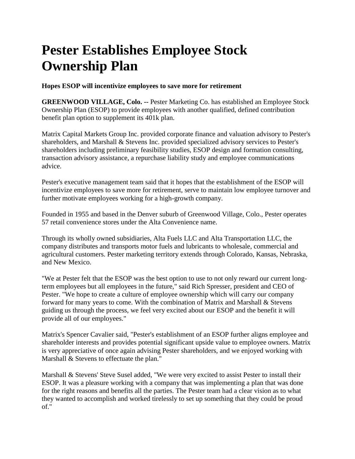## **Pester Establishes Employee Stock Ownership Plan**

**Hopes ESOP will incentivize employees to save more for retirement**

**GREENWOOD VILLAGE, Colo. --** Pester Marketing Co. has established an Employee Stock Ownership Plan (ESOP) to provide employees with another qualified, defined contribution benefit plan option to supplement its 401k plan.

Matrix Capital Markets Group Inc. provided corporate finance and valuation advisory to Pester's shareholders, and Marshall & Stevens Inc. provided specialized advisory services to Pester's shareholders including preliminary feasibility studies, ESOP design and formation consulting, transaction advisory assistance, a repurchase liability study and employee communications advice.

Pester's executive management team said that it hopes that the establishment of the ESOP will incentivize employees to save more for retirement, serve to maintain low employee turnover and further motivate employees working for a high-growth company.

Founded in 1955 and based in the Denver suburb of Greenwood Village, Colo., Pester operates 57 retail convenience stores under the Alta Convenience name.

Through its wholly owned subsidiaries, Alta Fuels LLC and Alta Transportation LLC, the company distributes and transports motor fuels and lubricants to wholesale, commercial and agricultural customers. Pester marketing territory extends through Colorado, Kansas, Nebraska, and New Mexico.

"We at Pester felt that the ESOP was the best option to use to not only reward our current longterm employees but all employees in the future," said Rich Spresser, president and CEO of Pester. "We hope to create a culture of employee ownership which will carry our company forward for many years to come. With the combination of Matrix and Marshall & Stevens guiding us through the process, we feel very excited about our ESOP and the benefit it will provide all of our employees."

Matrix's Spencer Cavalier said, "Pester's establishment of an ESOP further aligns employee and shareholder interests and provides potential significant upside value to employee owners. Matrix is very appreciative of once again advising Pester shareholders, and we enjoyed working with Marshall & Stevens to effectuate the plan."

Marshall & Stevens' Steve Susel added, "We were very excited to assist Pester to install their ESOP. It was a pleasure working with a company that was implementing a plan that was done for the right reasons and benefits all the parties. The Pester team had a clear vision as to what they wanted to accomplish and worked tirelessly to set up something that they could be proud of."